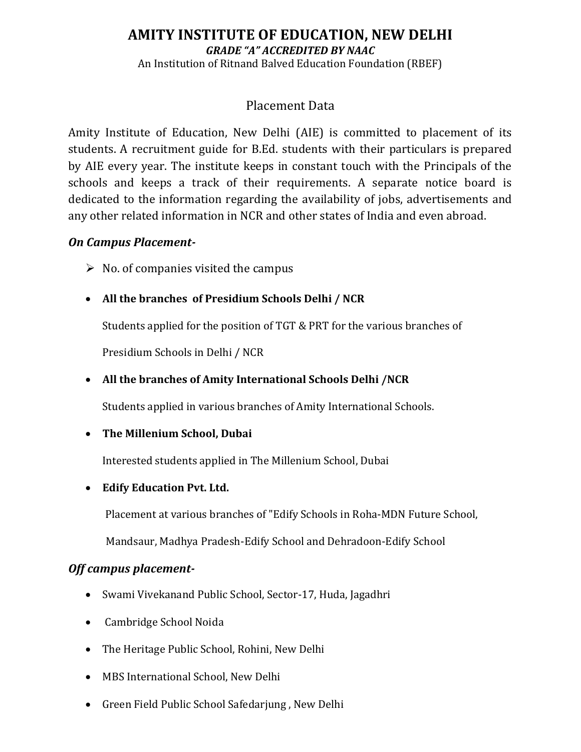# **AMITY INSTITUTE OF EDUCATION, NEW DELHI** *GRADE "A" ACCREDITED BY NAAC* An Institution of Ritnand Balved Education Foundation (RBEF)

# Placement Data

Amity Institute of Education, New Delhi (AIE) is committed to placement of its students. A recruitment guide for B.Ed. students with their particulars is prepared by AIE every year. The institute keeps in constant touch with the Principals of the schools and keeps a track of their requirements. A separate notice board is dedicated to the information regarding the availability of jobs, advertisements and any other related information in NCR and other states of India and even abroad.

#### *On Campus Placement-*

- $\triangleright$  No. of companies visited the campus
- **All the branches of Presidium Schools Delhi / NCR**

Students applied for the position of TGT & PRT for the various branches of

Presidium Schools in Delhi / NCR

**All the branches of Amity International Schools Delhi /NCR**

Students applied in various branches of Amity International Schools.

### **The Millenium School, Dubai**

Interested students applied in The Millenium School, Dubai

### **Edify Education Pvt. Ltd.**

Placement at various branches of "Edify Schools in Roha-MDN Future School,

Mandsaur, Madhya Pradesh-Edify School and Dehradoon-Edify School

### *Off campus placement-*

- Swami Vivekanand Public School, Sector-17, Huda, Jagadhri
- Cambridge School Noida
- The Heritage Public School, Rohini, New Delhi
- MBS International School, New Delhi
- Green Field Public School Safedarjung , New Delhi